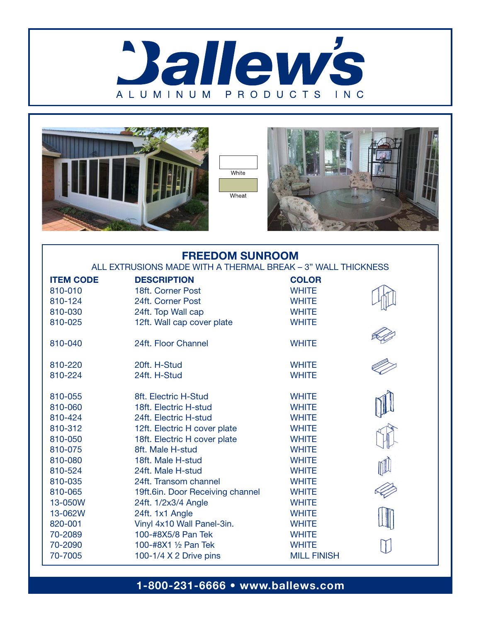







## FREEDOM SUNROOM

ALL EXTRUSIONS MADE WITH A THERMAL BREAK – 3" WALL THICKNESS

| <b>ITEM CODE</b> | <b>DESCRIPTION</b>               | <b>COLOR</b>       |  |
|------------------|----------------------------------|--------------------|--|
| 810-010          | 18ft. Corner Post                | <b>WHITE</b>       |  |
| 810-124          | 24ft. Corner Post                | <b>WHITE</b>       |  |
| 810-030          | 24ft. Top Wall cap               | <b>WHITE</b>       |  |
| 810-025          | 12ft. Wall cap cover plate       | <b>WHITE</b>       |  |
|                  |                                  |                    |  |
| 810-040          | 24ft. Floor Channel              | <b>WHITE</b>       |  |
| 810-220          | 20ft. H-Stud                     | <b>WHITE</b>       |  |
| 810-224          | 24ft. H-Stud                     | <b>WHITE</b>       |  |
| 810-055          | 8ft. Electric H-Stud             | <b>WHITE</b>       |  |
|                  | 18ft. Electric H-stud            | <b>WHITE</b>       |  |
| 810-060          |                                  |                    |  |
| 810-424          | 24ft. Electric H-stud            | <b>WHITE</b>       |  |
| 810-312          | 12ft. Electric H cover plate     | <b>WHITE</b>       |  |
| 810-050          | 18ft. Electric H cover plate     | <b>WHITE</b>       |  |
| 810-075          | 8ft. Male H-stud                 | <b>WHITE</b>       |  |
| 810-080          | 18ft. Male H-stud                | <b>WHITE</b>       |  |
| 810-524          | 24ft. Male H-stud                | <b>WHITE</b>       |  |
| 810-035          | 24ft. Transom channel            | <b>WHITE</b>       |  |
| 810-065          | 19ft.6in. Door Receiving channel | <b>WHITE</b>       |  |
| 13-050W          | 24ft. 1/2x3/4 Angle              | <b>WHITE</b>       |  |
| 13-062W          | 24ft. 1x1 Angle                  | <b>WHITE</b>       |  |
| 820-001          | Vinyl 4x10 Wall Panel-3in.       | <b>WHITE</b>       |  |
| 70-2089          | 100-#8X5/8 Pan Tek               | <b>WHITE</b>       |  |
| 70-2090          | 100-#8X1 1/2 Pan Tek             | <b>WHITE</b>       |  |
| 70-7005          | 100-1/4 X 2 Drive pins           | <b>MILL FINISH</b> |  |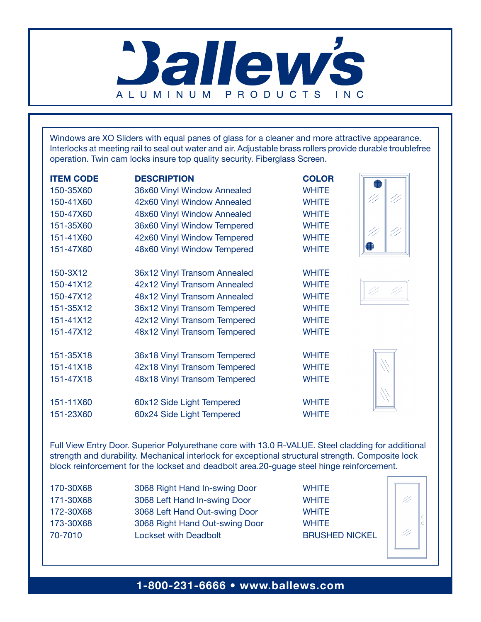

Windows are XO Sliders with equal panes of glass for a cleaner and more attractive appearance. Interlocks at meeting rail to seal out water and air. Adjustable brass rollers provide durable troublefree operation. Twin cam locks insure top quality security. Fiberglass Screen.

| <b>ITEM CODE</b> | <b>DESCRIPTION</b>           | <b>COLOR</b> |  |
|------------------|------------------------------|--------------|--|
| 150-35X60        | 36x60 Vinyl Window Annealed  | <b>WHITE</b> |  |
| 150-41X60        | 42x60 Vinyl Window Annealed  | <b>WHITE</b> |  |
| 150-47X60        | 48x60 Vinyl Window Annealed  | <b>WHITE</b> |  |
| 151-35X60        | 36x60 Vinyl Window Tempered  | <b>WHITE</b> |  |
| 151-41X60        | 42x60 Vinyl Window Tempered  | <b>WHITE</b> |  |
| 151-47X60        | 48x60 Vinyl Window Tempered  | <b>WHITE</b> |  |
|                  |                              |              |  |
| 150-3X12         | 36x12 Vinyl Transom Annealed | <b>WHITE</b> |  |
| 150-41X12        | 42x12 Vinyl Transom Annealed | <b>WHITE</b> |  |
| 150-47X12        | 48x12 Vinyl Transom Annealed | <b>WHITE</b> |  |
| 151-35X12        | 36x12 Vinyl Transom Tempered | <b>WHITE</b> |  |
| 151-41X12        | 42x12 Vinyl Transom Tempered | <b>WHITE</b> |  |
| 151-47X12        | 48x12 Vinyl Transom Tempered | <b>WHITE</b> |  |
| 151-35X18        | 36x18 Vinyl Transom Tempered | <b>WHITE</b> |  |
| 151-41X18        | 42x18 Vinyl Transom Tempered | <b>WHITE</b> |  |
| 151-47X18        | 48x18 Vinyl Transom Tempered | <b>WHITE</b> |  |
|                  |                              |              |  |
| 151-11X60        | 60x12 Side Light Tempered    | <b>WHITE</b> |  |
| 151-23X60        | 60x24 Side Light Tempered    | <b>WHITE</b> |  |

Full View Entry Door. Superior Polyurethane core with 13.0 R-VALUE. Steel cladding for additional strength and durability. Mechanical interlock for exceptional structural strength. Composite lock block reinforcement for the lockset and deadbolt area.20-guage steel hinge reinforcement.

| 170-30X68 | 3068 Right Hand In-swing Door  | <b>WHITE</b>          |
|-----------|--------------------------------|-----------------------|
| 171-30X68 | 3068 Left Hand In-swing Door   | <b>WHITE</b>          |
| 172-30X68 | 3068 Left Hand Out-swing Door  | <b>WHITE</b>          |
| 173-30X68 | 3068 Right Hand Out-swing Door | <b>WHITE</b>          |
| 70-7010   | <b>Lockset with Deadbolt</b>   | <b>BRUSHED NICKEL</b> |
|           |                                |                       |

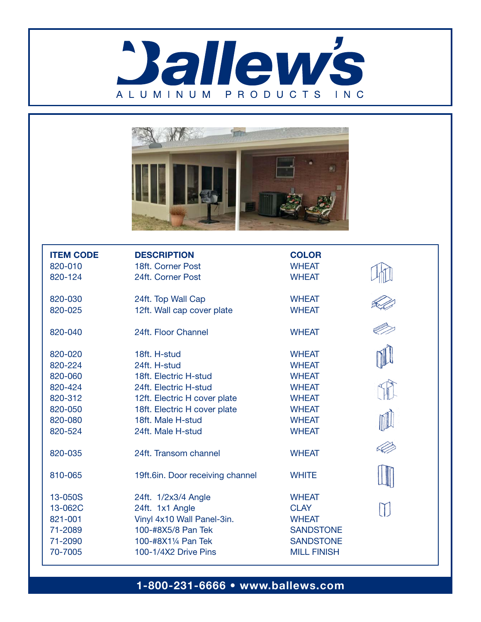



| <b>ITEM CODE</b> | <b>DESCRIPTION</b>               | <b>COLOR</b>       |  |
|------------------|----------------------------------|--------------------|--|
| 820-010          | 18ft. Corner Post                | <b>WHEAT</b>       |  |
| 820-124          | 24ft. Corner Post                | <b>WHEAT</b>       |  |
| 820-030          | 24ft. Top Wall Cap               | <b>WHEAT</b>       |  |
| 820-025          | 12ft. Wall cap cover plate       | <b>WHEAT</b>       |  |
| 820-040          | 24ft. Floor Channel              | <b>WHEAT</b>       |  |
| 820-020          | 18ft. H-stud                     | <b>WHEAT</b>       |  |
| 820-224          | 24ft. H-stud                     | <b>WHEAT</b>       |  |
| 820-060          | 18ft. Electric H-stud            | <b>WHEAT</b>       |  |
| 820-424          | 24ft. Electric H-stud            | <b>WHEAT</b>       |  |
| 820-312          | 12ft. Electric H cover plate     | <b>WHEAT</b>       |  |
| 820-050          | 18ft. Electric H cover plate     | <b>WHEAT</b>       |  |
| 820-080          | 18ft. Male H-stud                | <b>WHEAT</b>       |  |
| 820-524          | 24ft. Male H-stud                | <b>WHEAT</b>       |  |
| 820-035          | 24ft. Transom channel            | <b>WHEAT</b>       |  |
| 810-065          | 19ft.6in. Door receiving channel | <b>WHITE</b>       |  |
| 13-050S          | 24ft. 1/2x3/4 Angle              | <b>WHEAT</b>       |  |
| 13-062C          | 24ft. 1x1 Angle                  | <b>CLAY</b>        |  |
| 821-001          | Vinyl 4x10 Wall Panel-3in.       | <b>WHEAT</b>       |  |
| 71-2089          | 100-#8X5/8 Pan Tek               | <b>SANDSTONE</b>   |  |
| 71-2090          | 100-#8X11/4 Pan Tek              | <b>SANDSTONE</b>   |  |
| 70-7005          | 100-1/4X2 Drive Pins             | <b>MILL FINISH</b> |  |